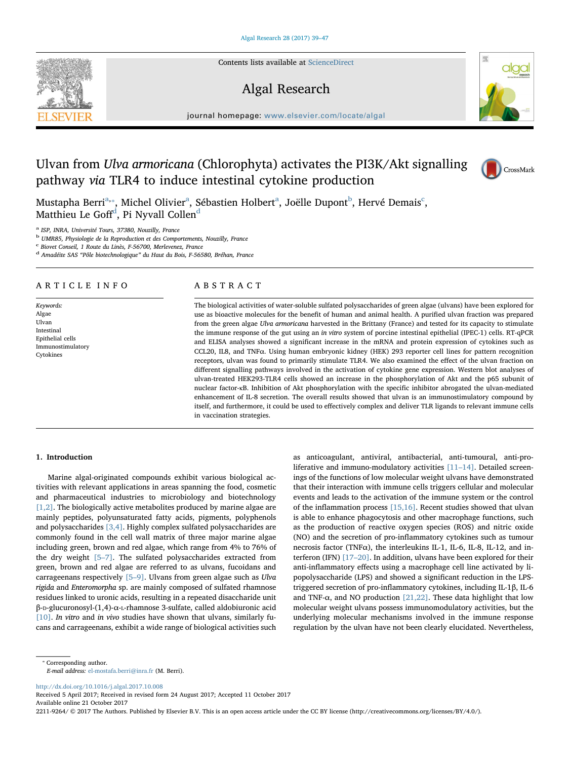Contents lists available at [ScienceDirect](http://www.sciencedirect.com/science/journal/22119264)

# Algal Research

journal homepage: [www.elsevier.com/locate/algal](https://www.elsevier.com/locate/algal)

# Ulvan from Ulva armoricana (Chlorophyta) activates the PI3K/Akt signalling pathway via TLR4 to induce intestinal cytokine production

Must[a](#page-0-0)pha Berri $^{\mathrm{a},*}$ , Michel Olivier $^{\mathrm{a}}$ , Sé[b](#page-0-2)astien Holbert $^{\mathrm{a}}$ , Joëlle Dupont $^{\mathrm{b}}$ , Hervé Demais $^{\mathrm{c}}$ , Matthieu Le Goff $\rm^d$  $\rm^d$ , Pi Nyvall Collen $\rm^d$ 

<span id="page-0-0"></span><sup>a</sup> ISP, INRA, Université Tours, 37380, Nouzilly, France

<span id="page-0-2"></span><sup>b</sup> UMR85, Physiologie de la Reproduction et des Comportements, Nouzilly, France

<span id="page-0-3"></span><sup>c</sup> Biovet Conseil, 1 Route du Linès, F-56700, Merlevenez, France

<span id="page-0-4"></span><sup>d</sup> Amadéite SAS "Pôle biotechnologique" du Haut du Bois, F-56580, Bréhan, France

# ARTICLE INFO

Keywords: Algae Ulvan Intestinal Epithelial cells Immunostimulatory Cytokines

# ABSTRACT

The biological activities of water-soluble sulfated polysaccharides of green algae (ulvans) have been explored for use as bioactive molecules for the benefit of human and animal health. A purified ulvan fraction was prepared from the green algae Ulva armoricana harvested in the Brittany (France) and tested for its capacity to stimulate the immune response of the gut using an in vitro system of porcine intestinal epithelial (IPEC-1) cells. RT-qPCR and ELISA analyses showed a significant increase in the mRNA and protein expression of cytokines such as CCL20, IL8, and TNFα. Using human embryonic kidney (HEK) 293 reporter cell lines for pattern recognition receptors, ulvan was found to primarily stimulate TLR4. We also examined the effect of the ulvan fraction on different signalling pathways involved in the activation of cytokine gene expression. Western blot analyses of ulvan-treated HEK293-TLR4 cells showed an increase in the phosphorylation of Akt and the p65 subunit of nuclear factor-κB. Inhibition of Akt phosphorylation with the specific inhibitor abrogated the ulvan-mediated enhancement of IL-8 secretion. The overall results showed that ulvan is an immunostimulatory compound by itself, and furthermore, it could be used to effectively complex and deliver TLR ligands to relevant immune cells in vaccination strategies.

## 1. Introduction

Marine algal-originated compounds exhibit various biological activities with relevant applications in areas spanning the food, cosmetic and pharmaceutical industries to microbiology and biotechnology [\[1,2\].](#page-7-0) The biologically active metabolites produced by marine algae are mainly peptides, polyunsaturated fatty acids, pigments, polyphenols and polysaccharides [\[3,4\]](#page-7-1). Highly complex sulfated polysaccharides are commonly found in the cell wall matrix of three major marine algae including green, brown and red algae, which range from 4% to 76% of the dry weight [5–[7\].](#page-8-0) The sulfated polysaccharides extracted from green, brown and red algae are referred to as ulvans, fucoidans and carrageenans respectively [5–[9\].](#page-8-0) Ulvans from green algae such as Ulva rigida and Enteromorpha sp. are mainly composed of sulfated rhamnose residues linked to uronic acids, resulting in a repeated disaccharide unit β-D-glucuronosyl-(1,4)-α-L-rhamnose 3-sulfate, called aldobiuronic acid [\[10\]](#page-8-1). In vitro and in vivo studies have shown that ulvans, similarly fucans and carrageenans, exhibit a wide range of biological activities such

as anticoagulant, antiviral, antibacterial, anti-tumoural, anti-proliferative and immuno-modulatory activities [11–[14\].](#page-8-2) Detailed screenings of the functions of low molecular weight ulvans have demonstrated that their interaction with immune cells triggers cellular and molecular events and leads to the activation of the immune system or the control of the inflammation process [\[15,16\].](#page-8-3) Recent studies showed that ulvan is able to enhance phagocytosis and other macrophage functions, such as the production of reactive oxygen species (ROS) and nitric oxide (NO) and the secretion of pro-inflammatory cytokines such as tumour necrosis factor (TNFα), the interleukins IL-1, IL-6, IL-8, IL-12, and interferon (IFN) [17–[20\]](#page-8-4). In addition, ulvans have been explored for their anti-inflammatory effects using a macrophage cell line activated by lipopolysaccharide (LPS) and showed a significant reduction in the LPStriggered secretion of pro-inflammatory cytokines, including IL-1β, IL-6 and TNF- $\alpha$ , and NO production [\[21,22\].](#page-8-5) These data highlight that low molecular weight ulvans possess immunomodulatory activities, but the underlying molecular mechanisms involved in the immune response regulation by the ulvan have not been clearly elucidated. Nevertheless,

E-mail address: [el-mostafa.berri@inra.fr](mailto:el-mostafa.berri@inra.fr) (M. Berri).

<http://dx.doi.org/10.1016/j.algal.2017.10.008>

Received 5 April 2017; Received in revised form 24 August 2017; Accepted 11 October 2017 Available online 21 October 2017

2211-9264/ © 2017 The Authors. Published by Elsevier B.V. This is an open access article under the CC BY license (http://creativecommons.org/licenses/BY/4.0/).





CrossMark

<span id="page-0-1"></span><sup>⁎</sup> Corresponding author.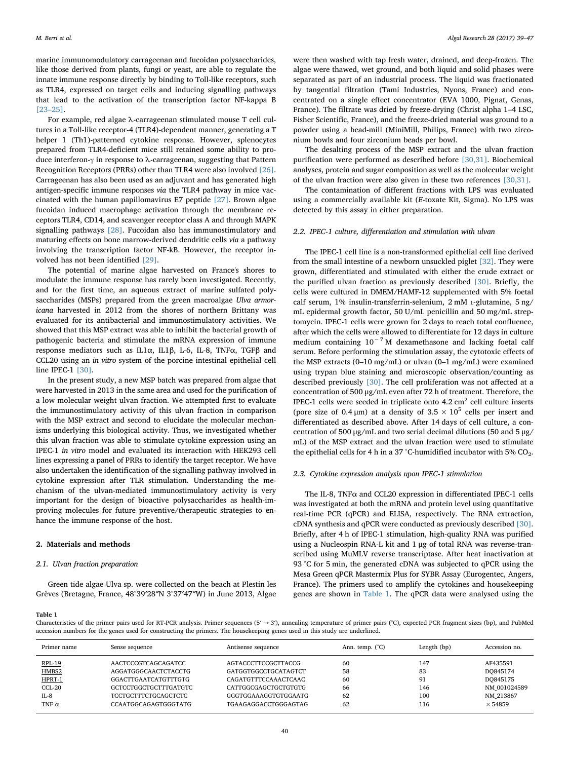marine immunomodulatory carrageenan and fucoidan polysaccharides, like those derived from plants, fungi or yeast, are able to regulate the innate immune response directly by binding to Toll-like receptors, such as TLR4, expressed on target cells and inducing signalling pathways that lead to the activation of the transcription factor NF-kappa B [23–[25\]](#page-8-6).

For example, red algae λ-carrageenan stimulated mouse T cell cultures in a Toll-like receptor-4 (TLR4)-dependent manner, generating a T helper 1 (Th1)-patterned cytokine response. However, splenocytes prepared from TLR4-deficient mice still retained some ability to produce interferon-γ in response to λ-carrageenan, suggesting that Pattern Recognition Receptors (PRRs) other than TLR4 were also involved [\[26\]](#page-8-7). Carrageenan has also been used as an adjuvant and has generated high antigen-specific immune responses via the TLR4 pathway in mice vaccinated with the human papillomavirus E7 peptide [\[27\]](#page-8-8). Brown algae fucoidan induced macrophage activation through the membrane receptors TLR4, CD14, and scavenger receptor class A and through MAPK signalling pathways [\[28\]](#page-8-9). Fucoidan also has immunostimulatory and maturing effects on bone marrow-derived dendritic cells via a pathway involving the transcription factor NF-kB. However, the receptor involved has not been identified [\[29\]](#page-8-10).

The potential of marine algae harvested on France's shores to modulate the immune response has rarely been investigated. Recently, and for the first time, an aqueous extract of marine sulfated polysaccharides (MSPs) prepared from the green macroalgae Ulva armoricana harvested in 2012 from the shores of northern Brittany was evaluated for its antibacterial and immunostimulatory activities. We showed that this MSP extract was able to inhibit the bacterial growth of pathogenic bacteria and stimulate the mRNA expression of immune response mediators such as IL1α, IL1β, L-6, IL-8, TNFα, TGFβ and CCL20 using an in vitro system of the porcine intestinal epithelial cell line IPEC-1 [\[30\].](#page-8-11)

In the present study, a new MSP batch was prepared from algae that were harvested in 2013 in the same area and used for the purification of a low molecular weight ulvan fraction. We attempted first to evaluate the immunostimulatory activity of this ulvan fraction in comparison with the MSP extract and second to elucidate the molecular mechanisms underlying this biological activity. Thus, we investigated whether this ulvan fraction was able to stimulate cytokine expression using an IPEC-1 in vitro model and evaluated its interaction with HEK293 cell lines expressing a panel of PRRs to identify the target receptor. We have also undertaken the identification of the signalling pathway involved in cytokine expression after TLR stimulation. Understanding the mechanism of the ulvan-mediated immunostimulatory activity is very important for the design of bioactive polysaccharides as health-improving molecules for future preventive/therapeutic strategies to enhance the immune response of the host.

## 2. Materials and methods

## 2.1. Ulvan fraction preparation

Green tide algae Ulva sp. were collected on the beach at Plestin les Grèves (Bretagne, France, 48°39′28″N 3°37′47″W) in June 2013, Algae

were then washed with tap fresh water, drained, and deep-frozen. The algae were thawed, wet ground, and both liquid and solid phases were separated as part of an industrial process. The liquid was fractionated by tangential filtration (Tami Industries, Nyons, France) and concentrated on a single effect concentrator (EVA 1000, Pignat, Genas, France). The filtrate was dried by freeze-drying (Christ alpha 1–4 LSC, Fisher Scientific, France), and the freeze-dried material was ground to a powder using a bead-mill (MiniMill, Philips, France) with two zirconium bowls and four zirconium beads per bowl.

The desalting process of the MSP extract and the ulvan fraction purification were performed as described before [\[30,31\]](#page-8-11). Biochemical analyses, protein and sugar composition as well as the molecular weight of the ulvan fraction were also given in these two references [\[30,31\].](#page-8-11)

The contamination of different fractions with LPS was evaluated using a commercially available kit (E-toxate Kit, Sigma). No LPS was detected by this assay in either preparation.

## 2.2. IPEC-1 culture, differentiation and stimulation with ulvan

The IPEC-1 cell line is a non-transformed epithelial cell line derived from the small intestine of a newborn unsuckled piglet [\[32\]](#page-8-12). They were grown, differentiated and stimulated with either the crude extract or the purified ulvan fraction as previously described [\[30\]](#page-8-11). Briefly, the cells were cultured in DMEM/HAMF-12 supplemented with 5% foetal calf serum, 1% insulin-transferrin‑selenium, 2 mM L-glutamine, 5 ng/ mL epidermal growth factor, 50 U/mL penicillin and 50 mg/mL streptomycin. IPEC-1 cells were grown for 2 days to reach total confluence, after which the cells were allowed to differentiate for 12 days in culture medium containing  $10^{-7}$  M dexamethasone and lacking foetal calf serum. Before performing the stimulation assay, the cytotoxic effects of the MSP extracts (0–10 mg/mL) or ulvan (0–1 mg/mL) were examined using trypan blue staining and microscopic observation/counting as described previously [\[30\]](#page-8-11). The cell proliferation was not affected at a concentration of 500 μg/mL even after 72 h of treatment. Therefore, the IPEC-1 cells were seeded in triplicate onto  $4.2 \text{ cm}^2$  cell culture inserts (pore size of 0.4  $\mu$ m) at a density of 3.5  $\times$  10<sup>5</sup> cells per insert and differentiated as described above. After 14 days of cell culture, a concentration of 500 μg/mL and two serial decimal dilutions (50 and 5 μg/ mL) of the MSP extract and the ulvan fraction were used to stimulate the epithelial cells for 4 h in a 37 °C-humidified incubator with 5%  $CO<sub>2</sub>$ .

## 2.3. Cytokine expression analysis upon IPEC-1 stimulation

The IL-8, TNFα and CCL20 expression in differentiated IPEC-1 cells was investigated at both the mRNA and protein level using quantitative real-time PCR (qPCR) and ELISA, respectively. The RNA extraction, cDNA synthesis and qPCR were conducted as previously described [\[30\]](#page-8-11). Briefly, after 4 h of IPEC-1 stimulation, high-quality RNA was purified using a Nucleospin RNA-L kit and 1 μg of total RNA was reverse-transcribed using MuMLV reverse transcriptase. After heat inactivation at 93 °C for 5 min, the generated cDNA was subjected to qPCR using the Mesa Green qPCR Mastermix Plus for SYBR Assay (Eurogentec, Angers, France). The primers used to amplify the cytokines and housekeeping genes are shown in [Table 1](#page-1-0). The qPCR data were analysed using the

#### <span id="page-1-0"></span>Table 1

Characteristics of the primer pairs used for RT-PCR analysis. Primer sequences  $(5' \rightarrow 3')$ , annealing temperature of primer pairs (°C), expected PCR fragment sizes (bp), and PubMed accession numbers for the genes used for constructing the primers. The housekeeping genes used in this study are underlined.

| Primer name  | Sense sequence              | Antisense sequence          | Ann. temp. $(^{\circ}C)$ | Length (bp) | Accession no.  |
|--------------|-----------------------------|-----------------------------|--------------------------|-------------|----------------|
| RPL-19       | AACTCCCGTCAGCAGATCC         | AGTACCCTTCCGCTTACCG         | 60                       | 147         | AF435591       |
| HMBS2        | AGGATGGGCAACTCTACCTG        | GATGGTGGCCTGCATAGTCT        | 58                       | 83          | DO845174       |
| HPRT-1       | GGACTTGAATCATGTTTGTG        | CAGATGTTTCCAAACTCAAC        | 60                       | 91          | DO845175       |
| $CCL-20$     | GCTCCTGGCTGCTTTGATGTC       | CATTGGCGAGCTGCTGTGTG        | 66                       | 146         | NM 001024589   |
| $IL-8$       | <b>TCCTGCTTTCTGCAGCTCTC</b> | GGGTGGAAAGGTGTGGAATG        | 62                       | 100         | NM 213867      |
| TNF $\alpha$ | CCAATGGCAGAGTGGGTATG        | <b>TGAAGAGGACCTGGGAGTAG</b> | 62                       | 116         | $\times$ 54859 |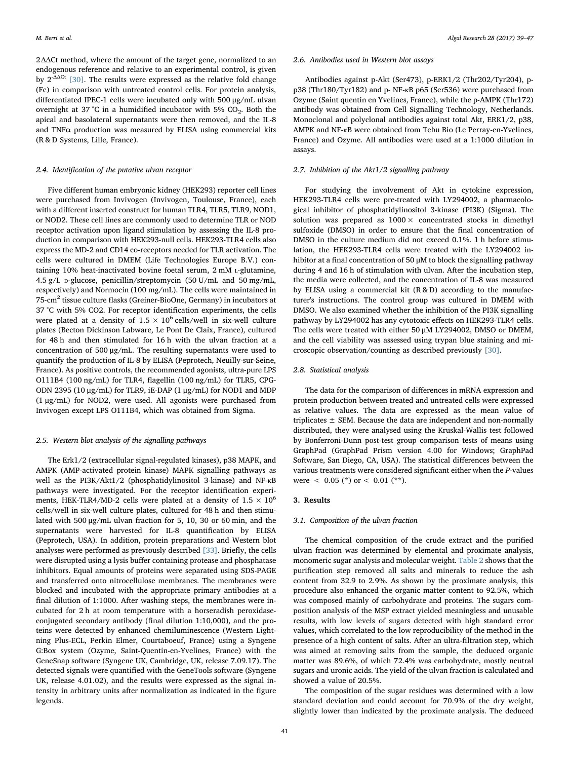2ΔΔCt method, where the amount of the target gene, normalized to an endogenous reference and relative to an experimental control, is given by  $2^{-\Delta\Delta\text{Ct}}$  [\[30\].](#page-8-11) The results were expressed as the relative fold change (Fc) in comparison with untreated control cells. For protein analysis, differentiated IPEC-1 cells were incubated only with 500 μg/mL ulvan overnight at 37 °C in a humidified incubator with 5%  $CO<sub>2</sub>$ . Both the apical and basolateral supernatants were then removed, and the IL-8 and TNFα production was measured by ELISA using commercial kits (R & D Systems, Lille, France).

## 2.4. Identification of the putative ulvan receptor

Five different human embryonic kidney (HEK293) reporter cell lines were purchased from Invivogen (Invivogen, Toulouse, France), each with a different inserted construct for human TLR4, TLR5, TLR9, NOD1, or NOD2. These cell lines are commonly used to determine TLR or NOD receptor activation upon ligand stimulation by assessing the IL-8 production in comparison with HEK293-null cells. HEK293-TLR4 cells also express the MD-2 and CD14 co-receptors needed for TLR activation. The cells were cultured in DMEM (Life Technologies Europe B.V.) containing 10% heat-inactivated bovine foetal serum, 2 mM L-glutamine, 4.5 g/L D-glucose, penicillin/streptomycin (50 U/mL and 50 mg/mL, respectively) and Normocin (100 mg/mL). The cells were maintained in 75-cm<sup>2</sup> tissue culture flasks (Greiner-BioOne, Germany) in incubators at 37 °C with 5% CO2. For receptor identification experiments, the cells were plated at a density of  $1.5 \times 10^6$  cells/well in six-well culture plates (Becton Dickinson Labware, Le Pont De Claix, France), cultured for 48 h and then stimulated for 16 h with the ulvan fraction at a concentration of 500 μg/mL. The resulting supernatants were used to quantify the production of IL-8 by ELISA (Peprotech, Neuilly-sur-Seine, France). As positive controls, the recommended agonists, ultra-pure LPS O111B4 (100 ng/mL) for TLR4, flagellin (100 ng/mL) for TLR5, CPG-ODN 2395 (10 μg/mL) for TLR9, iE-DAP (1 μg/mL) for NOD1 and MDP (1 μg/mL) for NOD2, were used. All agonists were purchased from Invivogen except LPS O111B4, which was obtained from Sigma.

## 2.5. Western blot analysis of the signalling pathways

The Erk1/2 (extracellular signal-regulated kinases), p38 MAPK, and AMPK (AMP-activated protein kinase) MAPK signalling pathways as well as the PI3K/Akt1/2 (phosphatidylinositol 3-kinase) and NF-κB pathways were investigated. For the receptor identification experiments, HEK-TLR4/MD-2 cells were plated at a density of  $1.5 \times 10^6$ cells/well in six-well culture plates, cultured for 48 h and then stimulated with 500 μg/mL ulvan fraction for 5, 10, 30 or 60 min, and the supernatants were harvested for IL-8 quantification by ELISA (Peprotech, USA). In addition, protein preparations and Western blot analyses were performed as previously described [\[33\]](#page-8-13). Briefly, the cells were disrupted using a lysis buffer containing protease and phosphatase inhibitors. Equal amounts of proteins were separated using SDS-PAGE and transferred onto nitrocellulose membranes. The membranes were blocked and incubated with the appropriate primary antibodies at a final dilution of 1:1000. After washing steps, the membranes were incubated for 2 h at room temperature with a horseradish peroxidaseconjugated secondary antibody (final dilution 1:10,000), and the proteins were detected by enhanced chemiluminescence (Western Lightning Plus-ECL, Perkin Elmer, Courtaboeuf, France) using a Syngene G:Box system (Ozyme, Saint-Quentin-en-Yvelines, France) with the GeneSnap software (Syngene UK, Cambridge, UK, release 7.09.17). The detected signals were quantified with the GeneTools software (Syngene UK, release 4.01.02), and the results were expressed as the signal intensity in arbitrary units after normalization as indicated in the figure legends.

#### 2.6. Antibodies used in Western blot assays

Antibodies against p-Akt (Ser473), p-ERK1/2 (Thr202/Tyr204), pp38 (Thr180/Tyr182) and p- NF-κB p65 (Ser536) were purchased from Ozyme (Saint quentin en Yvelines, France), while the p-AMPK (Thr172) antibody was obtained from Cell Signalling Technology, Netherlands. Monoclonal and polyclonal antibodies against total Akt, ERK1/2, p38, AMPK and NF-κB were obtained from Tebu Bio (Le Perray-en-Yvelines, France) and Ozyme. All antibodies were used at a 1:1000 dilution in assays.

## 2.7. Inhibition of the Akt1/2 signalling pathway

For studying the involvement of Akt in cytokine expression, HEK293-TLR4 cells were pre-treated with LY294002, a pharmacological inhibitor of phosphatidylinositol 3-kinase (PI3K) (Sigma). The solution was prepared as  $1000 \times$  concentrated stocks in dimethyl sulfoxide (DMSO) in order to ensure that the final concentration of DMSO in the culture medium did not exceed 0.1%. 1 h before stimulation, the HEK293-TLR4 cells were treated with the LY294002 inhibitor at a final concentration of 50 μM to block the signalling pathway during 4 and 16 h of stimulation with ulvan. After the incubation step, the media were collected, and the concentration of IL-8 was measured by ELISA using a commercial kit (R & D) according to the manufacturer's instructions. The control group was cultured in DMEM with DMSO. We also examined whether the inhibition of the PI3K signalling pathway by LY294002 has any cytotoxic effects on HEK293-TLR4 cells. The cells were treated with either 50 μM LY294002, DMSO or DMEM, and the cell viability was assessed using trypan blue staining and microscopic observation/counting as described previously [\[30\]](#page-8-11).

## 2.8. Statistical analysis

The data for the comparison of differences in mRNA expression and protein production between treated and untreated cells were expressed as relative values. The data are expressed as the mean value of triplicates  $\pm$  SEM. Because the data are independent and non-normally distributed, they were analysed using the Kruskal-Wallis test followed by Bonferroni-Dunn post-test group comparison tests of means using GraphPad (GraphPad Prism version 4.00 for Windows; GraphPad Software, San Diego, CA, USA). The statistical differences between the various treatments were considered significant either when the P-values were  $\langle 0.05 (*)$  or  $\langle 0.01 (*)$ .

## 3. Results

### 3.1. Composition of the ulvan fraction

The chemical composition of the crude extract and the purified ulvan fraction was determined by elemental and proximate analysis, monomeric sugar analysis and molecular weight. [Table 2](#page-3-0) shows that the purification step removed all salts and minerals to reduce the ash content from 32.9 to 2.9%. As shown by the proximate analysis, this procedure also enhanced the organic matter content to 92.5%, which was composed mainly of carbohydrate and proteins. The sugars composition analysis of the MSP extract yielded meaningless and unusable results, with low levels of sugars detected with high standard error values, which correlated to the low reproducibility of the method in the presence of a high content of salts. After an ultra-filtration step, which was aimed at removing salts from the sample, the deduced organic matter was 89.6%, of which 72.4% was carbohydrate, mostly neutral sugars and uronic acids. The yield of the ulvan fraction is calculated and showed a value of 20.5%.

The composition of the sugar residues was determined with a low standard deviation and could account for 70.9% of the dry weight, slightly lower than indicated by the proximate analysis. The deduced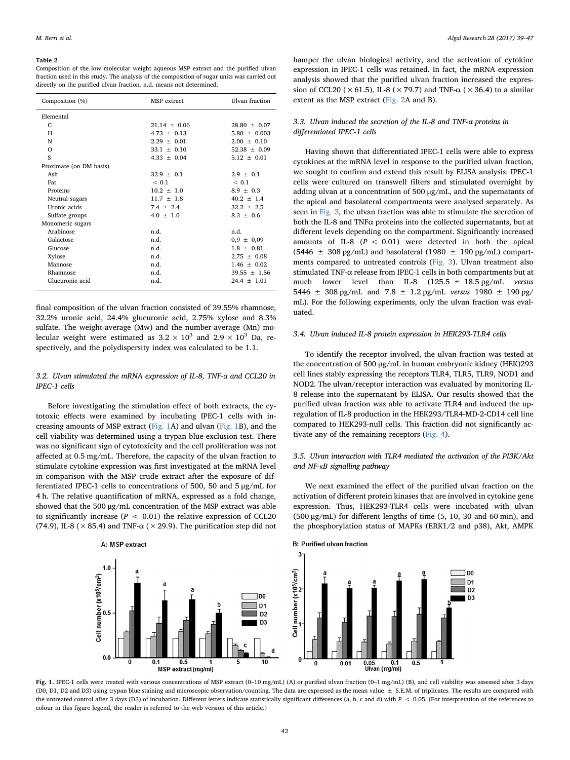#### <span id="page-3-0"></span>Table 2

Composition of the low molecular weight aqueous MSP extract and the purified ulvan fraction used in this study. The analysis of the composition of sugar units was carried out directly on the purified ulvan fraction. n.d. means not determined.

| Composition (%)         | MSP extract    | Ulvan fraction   |  |  |
|-------------------------|----------------|------------------|--|--|
| Elemental               |                |                  |  |  |
| C.                      | $21.14 + 0.06$ | $28.80 + 0.07$   |  |  |
| H                       | $4.73 + 0.13$  | $5.80 + 0.003$   |  |  |
| N                       | $2.29 + 0.01$  | $2.00 + 0.10$    |  |  |
| $\Omega$                | $33.1 + 0.10$  | $52.38 + 0.09$   |  |  |
| S                       | $4.33 + 0.04$  | $5.12 + 0.01$    |  |  |
| Proximate (on DM basis) |                |                  |  |  |
| Ash                     | $32.9 + 0.1$   | $2.9 + 0.1$      |  |  |
| Fat                     | < 0.1          | < 0.1            |  |  |
| Proteins                | $10.2 + 1.0$   | $8.9 + 0.3$      |  |  |
| Neutral sugars          | $11.7 \pm 1.8$ | $40.2 + 1.4$     |  |  |
| Uronic acids            | $7.4 + 2.4$    | $32.2 \pm 2.5$   |  |  |
| Sulfate groups          | $4.0 + 1.0$    | $8.3 + 0.6$      |  |  |
| Monomeric sugars        |                |                  |  |  |
| Arabinose               | n.d.           | n.d.             |  |  |
| Galactose               | n.d.           | $0,9 \pm 0,09$   |  |  |
| Glucose                 | n.d.           | $1.8 + 0.81$     |  |  |
| Xylose                  | n.d.           | $2.75 + 0.08$    |  |  |
| Mannose                 | n.d.           | $1.46 \pm 0.02$  |  |  |
| Rhamnose                | n.d.           | $39.55 \pm 1.56$ |  |  |
| Glucuronic acid         | n.d.           | $24.4 + 1.01$    |  |  |

final composition of the ulvan fraction consisted of 39.55% rhamnose, 32.2% uronic acid, 24.4% glucuronic acid, 2.75% xylose and 8.3% sulfate. The weight-average (Mw) and the number-average (Mn) molecular weight were estimated as  $3.2 \times 10^3$  and  $2.9 \times 10^3$  Da, respectively, and the polydispersity index was calculated to be 1.1.

# 3.2. Ulvan stimulated the mRNA expression of IL-8, TNF-α and CCL20 in IPEC-1 cells

Before investigating the stimulation effect of both extracts, the cytotoxic effects were examined by incubating IPEC-1 cells with increasing amounts of MSP extract ([Fig. 1](#page-3-1)A) and ulvan ([Fig. 1B](#page-3-1)), and the cell viability was determined using a trypan blue exclusion test. There was no significant sign of cytotoxicity and the cell proliferation was not affected at 0.5 mg/mL. Therefore, the capacity of the ulvan fraction to stimulate cytokine expression was first investigated at the mRNA level in comparison with the MSP crude extract after the exposure of differentiated IPEC-1 cells to concentrations of 500, 50 and 5 μg/mL for 4 h. The relative quantification of mRNA, expressed as a fold change, showed that the 500 μg/mL concentration of the MSP extract was able to significantly increase ( $P < 0.01$ ) the relative expression of CCL20 (74.9), IL-8 ( $\times$  85.4) and TNF- $\alpha$  ( $\times$  29.9). The purification step did not

<span id="page-3-1"></span>

hamper the ulvan biological activity, and the activation of cytokine expression in IPEC-1 cells was retained. In fact, the mRNA expression analysis showed that the purified ulvan fraction increased the expression of CCL20 ( $\times$  61.5), IL-8 ( $\times$  79.7) and TNF- $\alpha$  ( $\times$  36.4) to a similar extent as the MSP extract [\(Fig. 2](#page-4-0)A and B).

# 3.3. Ulvan induced the secretion of the IL-8 and TNF-α proteins in differentiated IPEC-1 cells

Having shown that differentiated IPEC-1 cells were able to express cytokines at the mRNA level in response to the purified ulvan fraction, we sought to confirm and extend this result by ELISA analysis. IPEC-1 cells were cultured on transwell filters and stimulated overnight by adding ulvan at a concentration of 500 μg/mL, and the supernatants of the apical and basolateral compartments were analysed separately. As seen in [Fig. 3](#page-4-1), the ulvan fraction was able to stimulate the secretion of both the IL-8 and TNFα proteins into the collected supernatants, but at different levels depending on the compartment. Significantly increased amounts of IL-8  $(P < 0.01)$  were detected in both the apical (5446  $\pm$  308 pg/mL) and basolateral (1980  $\pm$  190 pg/mL) compartments compared to untreated controls ([Fig. 3\)](#page-4-1). Ulvan treatment also stimulated TNF-α release from IPEC-1 cells in both compartments but at much lower level than IL-8 (125.5  $\pm$  18.5 pg/mL versus 5446 ± 308 pg/mL and 7.8 ± 1.2 pg/mL versus 1980 ± 190 pg/ mL). For the following experiments, only the ulvan fraction was evaluated.

## 3.4. Ulvan induced IL-8 protein expression in HEK293-TLR4 cells

To identify the receptor involved, the ulvan fraction was tested at the concentration of 500 μg/mL in human embryonic kidney (HEK)293 cell lines stably expressing the receptors TLR4, TLR5, TLR9, NOD1 and NOD2. The ulvan/receptor interaction was evaluated by monitoring IL-8 release into the supernatant by ELISA. Our results showed that the purified ulvan fraction was able to activate TLR4 and induced the upregulation of IL-8 production in the HEK293/TLR4-MD-2-CD14 cell line compared to HEK293-null cells. This fraction did not significantly activate any of the remaining receptors ([Fig. 4](#page-5-0)).

# 3.5. Ulvan interaction with TLR4 mediated the activation of the PI3K/Akt and NF-κB signalling pathway

We next examined the effect of the purified ulvan fraction on the activation of different protein kinases that are involved in cytokine gene expression. Thus, HEK293-TLR4 cells were incubated with ulvan (500 μg/mL) for different lengths of time (5, 10, 30 and 60 min), and the phosphorylation status of MAPKs (ERK1/2 and p38), Akt, AMPK



Fig. 1. IPEC-1 cells were treated with various concentrations of MSP extract (0–10 mg/mL) (A) or purified ulvan fraction (0–1 mg/mL) (B), and cell viability was assessed after 3 days (D0, D1, D2 and D3) using trypan blue staining and microscopic observation/counting. The data are expressed as the mean value  $\pm$  S.E.M. of triplicates. The results are compared with the untreated control after 3 days (D3) of incubation. Different letters indicate statistically significant differences (a, b, c and d) with  $P < 0.05$ . (For interpretation of the references to colour in this figure legend, the reader is referred to the web version of this article.)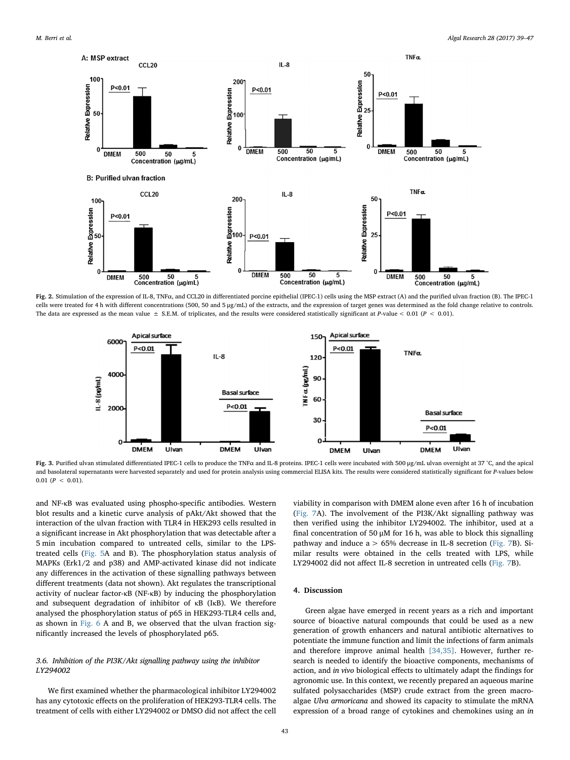<span id="page-4-0"></span>

<span id="page-4-1"></span>Fig. 2. Stimulation of the expression of IL-8, TNFα, and CCL20 in differentiated porcine epithelial (IPEC-1) cells using the MSP extract (A) and the purified ulvan fraction (B). The IPEC-1 cells were treated for 4 h with different concentrations (500, 50 and 5 μg/mL) of the extracts, and the expression of target genes was determined as the fold change relative to controls. The data are expressed as the mean value  $\pm$  S.E.M. of triplicates, and the results were considered statistically significant at P-value < 0.01 (P < 0.01).



Fig. 3. Purified ulvan stimulated differentiated IPEC-1 cells to produce the TNFα and IL-8 proteins. IPEC-1 cells were incubated with 500 μg/mL ulvan overnight at 37 °C, and the apical and basolateral supernatants were harvested separately and used for protein analysis using commercial ELISA kits. The results were considered statistically significant for P-values below 0.01 ( $P < 0.01$ ).

and NF-κB was evaluated using phospho-specific antibodies. Western blot results and a kinetic curve analysis of pAkt/Akt showed that the interaction of the ulvan fraction with TLR4 in HEK293 cells resulted in a significant increase in Akt phosphorylation that was detectable after a 5 min incubation compared to untreated cells, similar to the LPStreated cells [\(Fig. 5](#page-5-1)A and B). The phosphorylation status analysis of MAPKs (Erk1/2 and p38) and AMP-activated kinase did not indicate any differences in the activation of these signalling pathways between different treatments (data not shown). Akt regulates the transcriptional activity of nuclear factor-κB (NF-κB) by inducing the phosphorylation and subsequent degradation of inhibitor of κB (IκB). We therefore analysed the phosphorylation status of p65 in HEK293-TLR4 cells and, as shown in [Fig. 6](#page-6-0) A and B, we observed that the ulvan fraction significantly increased the levels of phosphorylated p65.

## 3.6. Inhibition of the PI3K/Akt signalling pathway using the inhibitor LY294002

We first examined whether the pharmacological inhibitor LY294002 has any cytotoxic effects on the proliferation of HEK293-TLR4 cells. The treatment of cells with either LY294002 or DMSO did not affect the cell

viability in comparison with DMEM alone even after 16 h of incubation ([Fig. 7A](#page-6-1)). The involvement of the PI3K/Akt signalling pathway was then verified using the inhibitor LY294002. The inhibitor, used at a final concentration of 50 μM for 16 h, was able to block this signalling pathway and induce a > 65% decrease in IL-8 secretion ([Fig. 7B](#page-6-1)). Similar results were obtained in the cells treated with LPS, while LY294002 did not affect IL-8 secretion in untreated cells [\(Fig. 7B](#page-6-1)).

# 4. Discussion

Green algae have emerged in recent years as a rich and important source of bioactive natural compounds that could be used as a new generation of growth enhancers and natural antibiotic alternatives to potentiate the immune function and limit the infections of farm animals and therefore improve animal health [\[34,35\]](#page-8-14). However, further research is needed to identify the bioactive components, mechanisms of action, and in vivo biological effects to ultimately adapt the findings for agronomic use. In this context, we recently prepared an aqueous marine sulfated polysaccharides (MSP) crude extract from the green macroalgae Ulva armoricana and showed its capacity to stimulate the mRNA expression of a broad range of cytokines and chemokines using an in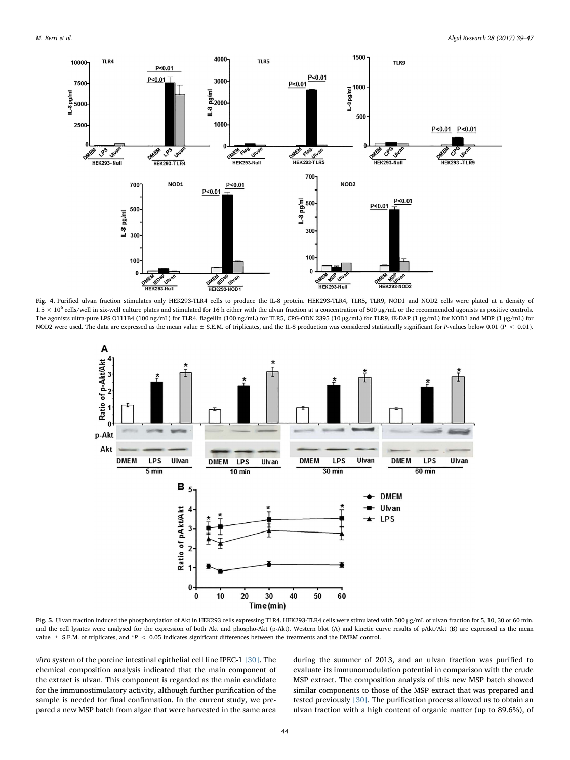<span id="page-5-0"></span>

<span id="page-5-1"></span>Fig. 4. Purified ulvan fraction stimulates only HEK293-TLR4 cells to produce the IL-8 protein. HEK293-TLR4, TLR5, TLR9, NOD1 and NOD2 cells were plated at a density of  $1.5 \times 10^6$  cells/well in six-well culture plates and stimulated for 16 h either with the ulvan fraction at a concentration of 500 µg/mL or the recommended agonists as positive controls. The agonists ultra-pure LPS O111B4 (100 ng/mL) for TLR4, flagellin (100 ng/mL) for TLR5, CPG-ODN 2395 (10 μg/mL) for TLR9, iE-DAP (1 μg/mL) for NOD1 and MDP (1 μg/mL) for NOD2 were used. The data are expressed as the mean value  $\pm$  S.E.M. of triplicates, and the IL-8 production was considered statistically significant for P-values below 0.01 ( $P < 0.01$ ).



Fig. 5. Ulvan fraction induced the phosphorylation of Akt in HEK293 cells expressing TLR4. HEK293-TLR4 cells were stimulated with 500 μg/mL of ulvan fraction for 5, 10, 30 or 60 min, and the cell lysates were analysed for the expression of both Akt and phospho-Akt (p-Akt). Western blot (A) and kinetic curve results of pAkt/Akt (B) are expressed as the mean value ± S.E.M. of triplicates, and \*P < 0.05 indicates significant differences between the treatments and the DMEM control.

vitro system of the porcine intestinal epithelial cell line IPEC-1 [\[30\]](#page-8-11). The chemical composition analysis indicated that the main component of the extract is ulvan. This component is regarded as the main candidate for the immunostimulatory activity, although further purification of the sample is needed for final confirmation. In the current study, we prepared a new MSP batch from algae that were harvested in the same area

during the summer of 2013, and an ulvan fraction was purified to evaluate its immunomodulation potential in comparison with the crude MSP extract. The composition analysis of this new MSP batch showed similar components to those of the MSP extract that was prepared and tested previously [\[30\]](#page-8-11). The purification process allowed us to obtain an ulvan fraction with a high content of organic matter (up to 89.6%), of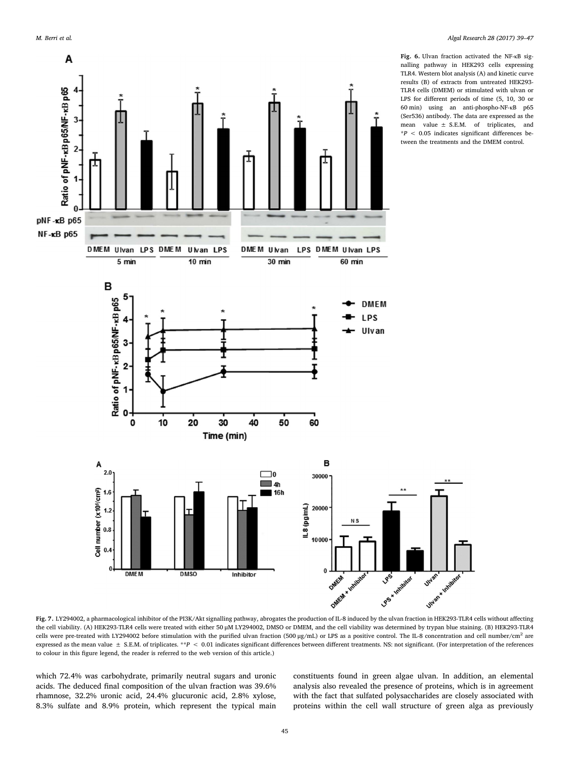<span id="page-6-0"></span>

Fig. 6. Ulvan fraction activated the NF-κB signalling pathway in HEK293 cells expressing TLR4. Western blot analysis (A) and kinetic curve results (B) of extracts from untreated HEK293- TLR4 cells (DMEM) or stimulated with ulvan or LPS for different periods of time (5, 10, 30 or 60 min) using an anti-phospho-NF-κB p65 (Ser536) antibody. The data are expressed as the mean value ± S.E.M. of triplicates, and  $*P$  < 0.05 indicates significant differences between the treatments and the DMEM control.

<span id="page-6-1"></span>the cell viability. (A) HEK293-TLR4 cells were treated with either 50 μM LY294002, DMSO or DMEM, and the cell viability was determined by trypan blue staining. (B) HEK293-TLR4 cells were pre-treated with LY294002 before stimulation with the purified ulvan fraction (500  $\mu$ g/mL) or LPS as a positive control. The IL-8 concentration and cell number/cm<sup>2</sup> are expressed as the mean value  $\pm$  S.E.M. of triplicates. \*\*P < 0.01 indicates significant differences between different treatments. NS: not significant. (For interpretation of the references to colour in this figure legend, the reader is referred to the web version of this article.)

which 72.4% was carbohydrate, primarily neutral sugars and uronic acids. The deduced final composition of the ulvan fraction was 39.6% rhamnose, 32.2% uronic acid, 24.4% glucuronic acid, 2.8% xylose, 8.3% sulfate and 8.9% protein, which represent the typical main

constituents found in green algae ulvan. In addition, an elemental analysis also revealed the presence of proteins, which is in agreement with the fact that sulfated polysaccharides are closely associated with proteins within the cell wall structure of green alga as previously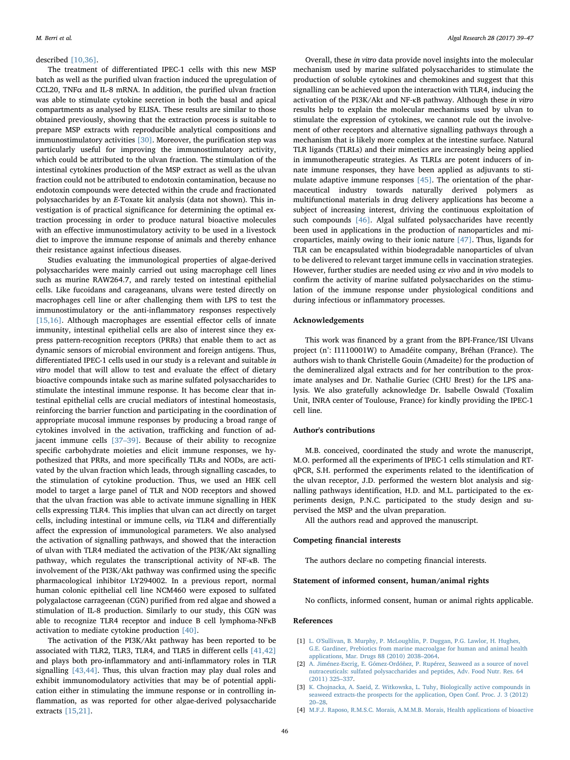#### described [\[10,36\].](#page-8-1)

The treatment of differentiated IPEC-1 cells with this new MSP batch as well as the purified ulvan fraction induced the upregulation of CCL20, TNFα and IL-8 mRNA. In addition, the purified ulvan fraction was able to stimulate cytokine secretion in both the basal and apical compartments as analysed by ELISA. These results are similar to those obtained previously, showing that the extraction process is suitable to prepare MSP extracts with reproducible analytical compositions and immunostimulatory activities [\[30\]](#page-8-11). Moreover, the purification step was particularly useful for improving the immunostimulatory activity, which could be attributed to the ulvan fraction. The stimulation of the intestinal cytokines production of the MSP extract as well as the ulvan fraction could not be attributed to endotoxin contamination, because no endotoxin compounds were detected within the crude and fractionated polysaccharides by an E-Toxate kit analysis (data not shown). This investigation is of practical significance for determining the optimal extraction processing in order to produce natural bioactive molecules with an effective immunostimulatory activity to be used in a livestock diet to improve the immune response of animals and thereby enhance their resistance against infectious diseases.

Studies evaluating the immunological properties of algae-derived polysaccharides were mainly carried out using macrophage cell lines such as murine RAW264.7, and rarely tested on intestinal epithelial cells. Like fucoidans and carageanans, ulvans were tested directly on macrophages cell line or after challenging them with LPS to test the immunostimulatory or the anti-inflammatory responses respectively [\[15,16\].](#page-8-3) Although macrophages are essential effector cells of innate immunity, intestinal epithelial cells are also of interest since they express pattern-recognition receptors (PRRs) that enable them to act as dynamic sensors of microbial environment and foreign antigens. Thus, differentiated IPEC-1 cells used in our study is a relevant and suitable in vitro model that will allow to test and evaluate the effect of dietary bioactive compounds intake such as marine sulfated polysaccharides to stimulate the intestinal immune response. It has become clear that intestinal epithelial cells are crucial mediators of intestinal homeostasis, reinforcing the barrier function and participating in the coordination of appropriate mucosal immune responses by producing a broad range of cytokines involved in the activation, trafficking and function of adjacent immune cells [\[37](#page-8-15)–39]. Because of their ability to recognize specific carbohydrate moieties and elicit immune responses, we hypothesized that PRRs, and more specifically TLRs and NODs, are activated by the ulvan fraction which leads, through signalling cascades, to the stimulation of cytokine production. Thus, we used an HEK cell model to target a large panel of TLR and NOD receptors and showed that the ulvan fraction was able to activate immune signalling in HEK cells expressing TLR4. This implies that ulvan can act directly on target cells, including intestinal or immune cells, via TLR4 and differentially affect the expression of immunological parameters. We also analysed the activation of signalling pathways, and showed that the interaction of ulvan with TLR4 mediated the activation of the PI3K/Akt signalling pathway, which regulates the transcriptional activity of NF-κB. The involvement of the PI3K/Akt pathway was confirmed using the specific pharmacological inhibitor LY294002. In a previous report, normal human colonic epithelial cell line NCM460 were exposed to sulfated polygalactose carrageenan (CGN) purified from red algae and showed a stimulation of IL-8 production. Similarly to our study, this CGN was able to recognize TLR4 receptor and induce B cell lymphoma-NFκB activation to mediate cytokine production [\[40\].](#page-8-16)

The activation of the PI3K/Akt pathway has been reported to be associated with TLR2, TLR3, TLR4, and TLR5 in different cells [\[41,42\]](#page-8-17) and plays both pro-inflammatory and anti-inflammatory roles in TLR signalling [\[43,44\].](#page-8-18) Thus, this ulvan fraction may play dual roles and exhibit immunomodulatory activities that may be of potential application either in stimulating the immune response or in controlling inflammation, as was reported for other algae-derived polysaccharide extracts [\[15,21\].](#page-8-3)

Overall, these in vitro data provide novel insights into the molecular mechanism used by marine sulfated polysaccharides to stimulate the production of soluble cytokines and chemokines and suggest that this signalling can be achieved upon the interaction with TLR4, inducing the activation of the PI3K/Akt and NF-κB pathway. Although these in vitro results help to explain the molecular mechanisms used by ulvan to stimulate the expression of cytokines, we cannot rule out the involvement of other receptors and alternative signalling pathways through a mechanism that is likely more complex at the intestine surface. Natural TLR ligands (TLRLs) and their mimetics are increasingly being applied in immunotherapeutic strategies. As TLRLs are potent inducers of innate immune responses, they have been applied as adjuvants to stimulate adaptive immune responses [\[45\]](#page-8-19). The orientation of the pharmaceutical industry towards naturally derived polymers as multifunctional materials in drug delivery applications has become a subject of increasing interest, driving the continuous exploitation of such compounds [\[46\]](#page-8-20). Algal sulfated polysaccharides have recently been used in applications in the production of nanoparticles and microparticles, mainly owing to their ionic nature [\[47\]](#page-8-21). Thus, ligands for TLR can be encapsulated within biodegradable nanoparticles of ulvan to be delivered to relevant target immune cells in vaccination strategies. However, further studies are needed using ex vivo and in vivo models to confirm the activity of marine sulfated polysaccharides on the stimulation of the immune response under physiological conditions and during infectious or inflammatory processes.

### Acknowledgements

This work was financed by a grant from the BPI-France/ISI Ulvans project (n°: I1110001W) to Amadéite company, Bréhan (France). The authors wish to thank Christelle Gouin (Amadeite) for the production of the demineralized algal extracts and for her contribution to the proximate analyses and Dr. Nathalie Guriec (CHU Brest) for the LPS analysis. We also gratefully acknowledge Dr. Isabelle Oswald (Toxalim Unit, INRA center of Toulouse, France) for kindly providing the IPEC-1 cell line.

## Author's contributions

M.B. conceived, coordinated the study and wrote the manuscript, M.O. performed all the experiments of IPEC-1 cells stimulation and RTqPCR, S.H. performed the experiments related to the identification of the ulvan receptor, J.D. performed the western blot analysis and signalling pathways identification, H.D. and M.L. participated to the experiments design, P.N.C. participated to the study design and supervised the MSP and the ulvan preparation.

All the authors read and approved the manuscript.

#### Competing financial interests

The authors declare no competing financial interests.

## Statement of informed consent, human/animal rights

No conflicts, informed consent, human or animal rights applicable.

#### References

- <span id="page-7-0"></span>[1] [L. O'Sullivan, B. Murphy, P. McLoughlin, P. Duggan, P.G. Lawlor, H. Hughes,](http://refhub.elsevier.com/S2211-9264(17)30327-2/rf0005) [G.E. Gardiner, Prebiotics from marine macroalgae for human and animal health](http://refhub.elsevier.com/S2211-9264(17)30327-2/rf0005) [applications, Mar. Drugs 88 \(2010\) 2038](http://refhub.elsevier.com/S2211-9264(17)30327-2/rf0005)–2064.
- [2] [A. Jiménez-Escrig, E. Gómez-Ordóñez, P. Rupérez, Seaweed as a source of novel](http://refhub.elsevier.com/S2211-9264(17)30327-2/rf0010) [nutraceuticals: sulfated polysaccharides and peptides, Adv. Food Nutr. Res. 64](http://refhub.elsevier.com/S2211-9264(17)30327-2/rf0010) [\(2011\) 325](http://refhub.elsevier.com/S2211-9264(17)30327-2/rf0010)–337.
- <span id="page-7-1"></span>[3] [K. Chojnacka, A. Saeid, Z. Witkowska, L. Tuhy, Biologically active compounds in](http://refhub.elsevier.com/S2211-9264(17)30327-2/rf0015) [seaweed extracts-the prospects for the application, Open Conf. Proc. J. 3 \(2012\)](http://refhub.elsevier.com/S2211-9264(17)30327-2/rf0015) 20–[28.](http://refhub.elsevier.com/S2211-9264(17)30327-2/rf0015)
- [4] [M.F.J. Raposo, R.M.S.C. Morais, A.M.M.B. Morais, Health applications of bioactive](http://refhub.elsevier.com/S2211-9264(17)30327-2/rf0020)